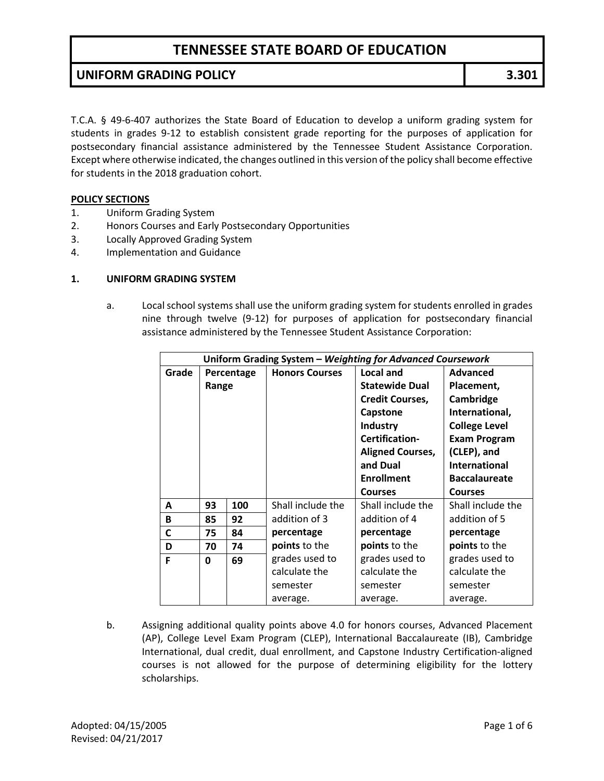### **UNIFORM GRADING POLICY 3.301**

T.C.A. § 49-6-407 authorizes the State Board of Education to develop a uniform grading system for students in grades 9-12 to establish consistent grade reporting for the purposes of application for postsecondary financial assistance administered by the Tennessee Student Assistance Corporation. Except where otherwise indicated, the changes outlined in this version of the policy shall become effective for students in the 2018 graduation cohort.

#### **POLICY SECTIONS**

- 1. Uniform Grading System
- 2. Honors Courses and Early Postsecondary Opportunities
- 3. Locally Approved Grading System
- 4. Implementation and Guidance

#### **1. UNIFORM GRADING SYSTEM**

a. Local school systems shall use the uniform grading system for students enrolled in grades nine through twelve (9-12) for purposes of application for postsecondary financial assistance administered by the Tennessee Student Assistance Corporation:

| Uniform Grading System - Weighting for Advanced Coursework |            |     |                       |                         |                      |
|------------------------------------------------------------|------------|-----|-----------------------|-------------------------|----------------------|
| Grade                                                      | Percentage |     | <b>Honors Courses</b> | Local and               | <b>Advanced</b>      |
|                                                            | Range      |     |                       | <b>Statewide Dual</b>   | Placement,           |
|                                                            |            |     |                       | <b>Credit Courses,</b>  | Cambridge            |
|                                                            |            |     |                       | Capstone                | International,       |
|                                                            |            |     |                       | <b>Industry</b>         | <b>College Level</b> |
|                                                            |            |     |                       | Certification-          | <b>Exam Program</b>  |
|                                                            |            |     |                       | <b>Aligned Courses,</b> | (CLEP), and          |
|                                                            |            |     |                       | and Dual                | International        |
|                                                            |            |     |                       | <b>Enrollment</b>       | <b>Baccalaureate</b> |
|                                                            |            |     |                       | <b>Courses</b>          | <b>Courses</b>       |
| A                                                          | 93         | 100 | Shall include the     | Shall include the       | Shall include the    |
| B                                                          | 85         | 92  | addition of 3         | addition of 4           | addition of 5        |
| C                                                          | 75         | 84  | percentage            | percentage              | percentage           |
| D                                                          | 70         | 74  | points to the         | points to the           | points to the        |
| F                                                          | 0          | 69  | grades used to        | grades used to          | grades used to       |
|                                                            |            |     | calculate the         | calculate the           | calculate the        |
|                                                            |            |     | semester              | semester                | semester             |
|                                                            |            |     | average.              | average.                | average.             |

b. Assigning additional quality points above 4.0 for honors courses, Advanced Placement (AP), College Level Exam Program (CLEP), International Baccalaureate (IB), Cambridge International, dual credit, dual enrollment, and Capstone Industry Certification-aligned courses is not allowed for the purpose of determining eligibility for the lottery scholarships.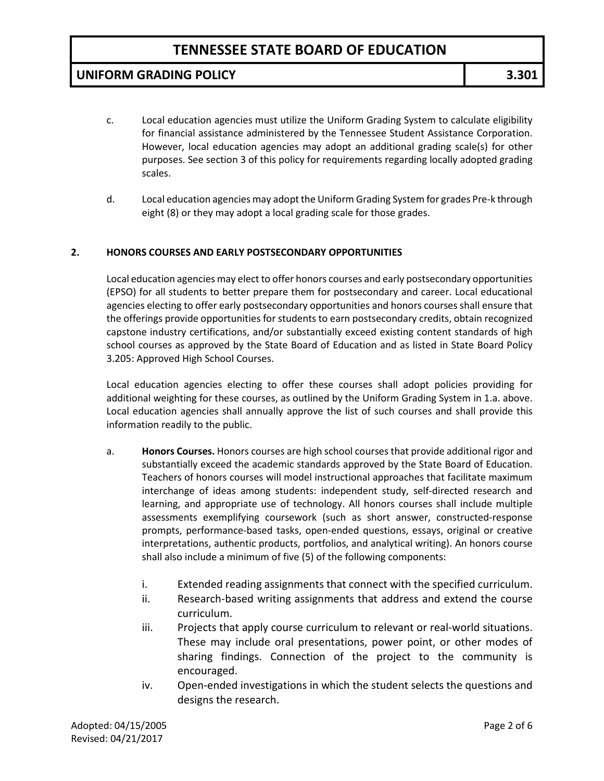### **UNIFORM GRADING POLICY 3.301**

- c. Local education agencies must utilize the Uniform Grading System to calculate eligibility for financial assistance administered by the Tennessee Student Assistance Corporation. However, local education agencies may adopt an additional grading scale(s) for other purposes. See section 3 of this policy for requirements regarding locally adopted grading scales.
- d. Local education agencies may adopt the Uniform Grading System for grades Pre-k through eight (8) or they may adopt a local grading scale for those grades.

#### **2. HONORS COURSES AND EARLY POSTSECONDARY OPPORTUNITIES**

Local education agencies may elect to offer honors courses and early postsecondary opportunities (EPSO) for all students to better prepare them for postsecondary and career. Local educational agencies electing to offer early postsecondary opportunities and honors courses shall ensure that the offerings provide opportunities for students to earn postsecondary credits, obtain recognized capstone industry certifications, and/or substantially exceed existing content standards of high school courses as approved by the State Board of Education and as listed in State Board Policy 3.205: Approved High School Courses.

Local education agencies electing to offer these courses shall adopt policies providing for additional weighting for these courses, as outlined by the Uniform Grading System in 1.a. above. Local education agencies shall annually approve the list of such courses and shall provide this information readily to the public.

- a. **Honors Courses.** Honors courses are high school courses that provide additional rigor and substantially exceed the academic standards approved by the State Board of Education. Teachers of honors courses will model instructional approaches that facilitate maximum interchange of ideas among students: independent study, self-directed research and learning, and appropriate use of technology. All honors courses shall include multiple assessments exemplifying coursework (such as short answer, constructed-response prompts, performance-based tasks, open-ended questions, essays, original or creative interpretations, authentic products, portfolios, and analytical writing). An honors course shall also include a minimum of five (5) of the following components:
	- i. Extended reading assignments that connect with the specified curriculum.
	- ii. Research-based writing assignments that address and extend the course curriculum.
	- iii. Projects that apply course curriculum to relevant or real-world situations. These may include oral presentations, power point, or other modes of sharing findings. Connection of the project to the community is encouraged.
	- iv. Open-ended investigations in which the student selects the questions and designs the research.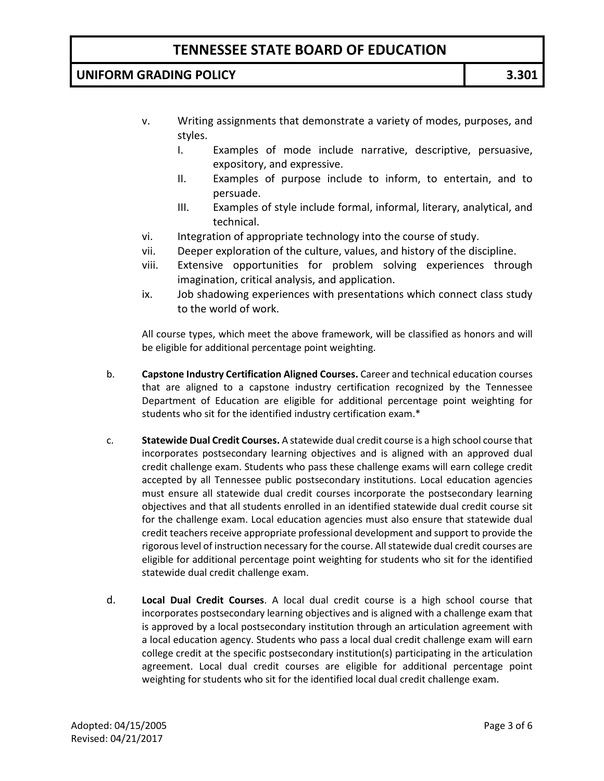### **UNIFORM GRADING POLICY 3.301**

- v. Writing assignments that demonstrate a variety of modes, purposes, and styles.
	- I. Examples of mode include narrative, descriptive, persuasive, expository, and expressive.
	- II. Examples of purpose include to inform, to entertain, and to persuade.
	- III. Examples of style include formal, informal, literary, analytical, and technical.
- vi. Integration of appropriate technology into the course of study.
- vii. Deeper exploration of the culture, values, and history of the discipline.
- viii. Extensive opportunities for problem solving experiences through imagination, critical analysis, and application.
- ix. Job shadowing experiences with presentations which connect class study to the world of work.

All course types, which meet the above framework, will be classified as honors and will be eligible for additional percentage point weighting.

- b. **Capstone Industry Certification Aligned Courses.** Career and technical education courses that are aligned to a capstone industry certification recognized by the Tennessee Department of Education are eligible for additional percentage point weighting for students who sit for the identified industry certification exam.\*
- c. **Statewide Dual Credit Courses.** A statewide dual credit course is a high school course that incorporates postsecondary learning objectives and is aligned with an approved dual credit challenge exam. Students who pass these challenge exams will earn college credit accepted by all Tennessee public postsecondary institutions. Local education agencies must ensure all statewide dual credit courses incorporate the postsecondary learning objectives and that all students enrolled in an identified statewide dual credit course sit for the challenge exam. Local education agencies must also ensure that statewide dual credit teachers receive appropriate professional development and support to provide the rigorous level of instruction necessary for the course. All statewide dual credit courses are eligible for additional percentage point weighting for students who sit for the identified statewide dual credit challenge exam.
- d. **Local Dual Credit Courses**. A local dual credit course is a high school course that incorporates postsecondary learning objectives and is aligned with a challenge exam that is approved by a local postsecondary institution through an articulation agreement with a local education agency. Students who pass a local dual credit challenge exam will earn college credit at the specific postsecondary institution(s) participating in the articulation agreement. Local dual credit courses are eligible for additional percentage point weighting for students who sit for the identified local dual credit challenge exam.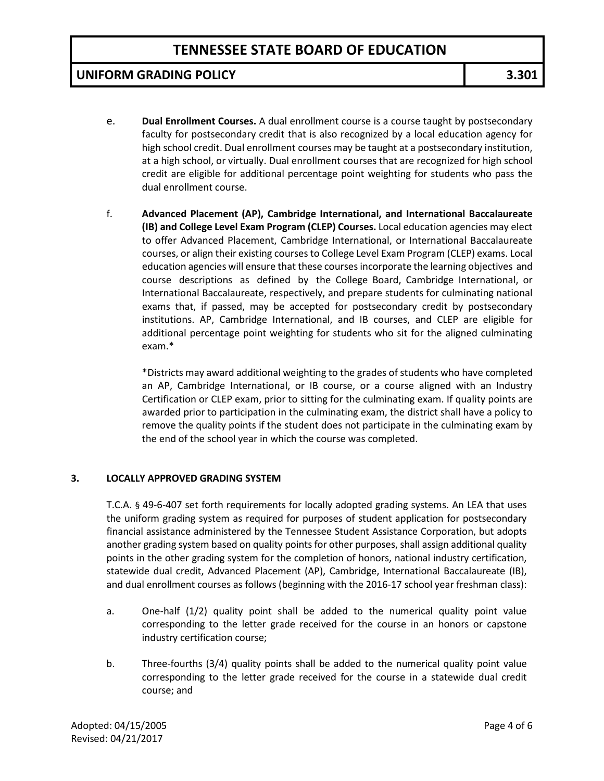### **UNIFORM GRADING POLICY 3.301**

- e. **Dual Enrollment Courses.** A dual enrollment course is a course taught by postsecondary faculty for postsecondary credit that is also recognized by a local education agency for high school credit. Dual enrollment courses may be taught at a postsecondary institution, at a high school, or virtually. Dual enrollment courses that are recognized for high school credit are eligible for additional percentage point weighting for students who pass the dual enrollment course.
- f. **Advanced Placement (AP), Cambridge International, and International Baccalaureate (IB) and College Level Exam Program (CLEP) Courses.** Local education agencies may elect to offer Advanced Placement, Cambridge International, or International Baccalaureate courses, or align their existing courses to College Level Exam Program (CLEP) exams. Local education agencies will ensure that these courses incorporate the learning objectives and course descriptions as defined by the College Board, Cambridge International, or International Baccalaureate, respectively, and prepare students for culminating national exams that, if passed, may be accepted for postsecondary credit by postsecondary institutions. AP, Cambridge International, and IB courses, and CLEP are eligible for additional percentage point weighting for students who sit for the aligned culminating exam.\*

\*Districts may award additional weighting to the grades of students who have completed an AP, Cambridge International, or IB course, or a course aligned with an Industry Certification or CLEP exam, prior to sitting for the culminating exam. If quality points are awarded prior to participation in the culminating exam, the district shall have a policy to remove the quality points if the student does not participate in the culminating exam by the end of the school year in which the course was completed.

#### **3. LOCALLY APPROVED GRADING SYSTEM**

T.C.A. § 49-6-407 set forth requirements for locally adopted grading systems. An LEA that uses the uniform grading system as required for purposes of student application for postsecondary financial assistance administered by the Tennessee Student Assistance Corporation, but adopts another grading system based on quality points for other purposes, shall assign additional quality points in the other grading system for the completion of honors, national industry certification, statewide dual credit, Advanced Placement (AP), Cambridge, International Baccalaureate (IB), and dual enrollment courses as follows (beginning with the 2016-17 school year freshman class):

- a. One-half (1/2) quality point shall be added to the numerical quality point value corresponding to the letter grade received for the course in an honors or capstone industry certification course;
- b. Three-fourths (3/4) quality points shall be added to the numerical quality point value corresponding to the letter grade received for the course in a statewide dual credit course; and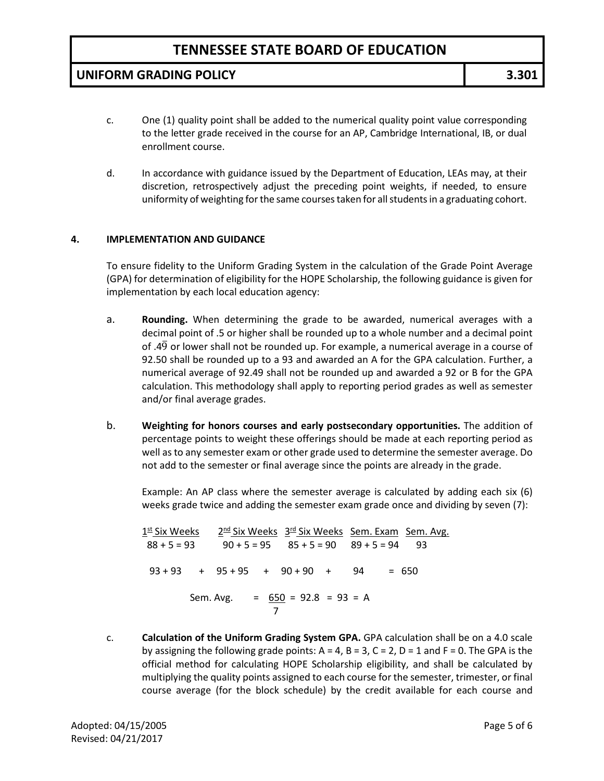### **UNIFORM GRADING POLICY 3.301**

- c. One (1) quality point shall be added to the numerical quality point value corresponding to the letter grade received in the course for an AP, Cambridge International, IB, or dual enrollment course.
- d. In accordance with guidance issued by the Department of Education, LEAs may, at their discretion, retrospectively adjust the preceding point weights, if needed, to ensure uniformity of weighting for the same courses taken for all students in a graduating cohort.

#### **4. IMPLEMENTATION AND GUIDANCE**

To ensure fidelity to the Uniform Grading System in the calculation of the Grade Point Average (GPA) for determination of eligibility for the HOPE Scholarship, the following guidance is given for implementation by each local education agency:

- a. **Rounding.** When determining the grade to be awarded, numerical averages with a decimal point of .5 or higher shall be rounded up to a whole number and a decimal point of .49 or lower shall not be rounded up. For example, a numerical average in a course of 92.50 shall be rounded up to a 93 and awarded an A for the GPA calculation. Further, a numerical average of 92.49 shall not be rounded up and awarded a 92 or B for the GPA calculation. This methodology shall apply to reporting period grades as well as semester and/or final average grades.
- b. **Weighting for honors courses and early postsecondary opportunities.** The addition of percentage points to weight these offerings should be made at each reporting period as well as to any semester exam or other grade used to determine the semester average. Do not add to the semester or final average since the points are already in the grade.

Example: An AP class where the semester average is calculated by adding each six (6) weeks grade twice and adding the semester exam grade once and dividing by seven (7):

1<sup>st</sup> Six Weeks 2<sup>nd</sup> Six Weeks 3<sup>rd</sup> Six Weeks Sem. Exam Sem. Avg.  $88 + 5 = 93$   $90 + 5 = 95$   $85 + 5 = 90$   $89 + 5 = 94$  93  $93 + 93 + 95 + 95 + 90 + 90 + 90 + 94 = 650$  Sem. Avg. = 650 = 92.8 = 93 = A 7

c. **Calculation of the Uniform Grading System GPA.** GPA calculation shall be on a 4.0 scale by assigning the following grade points:  $A = 4$ ,  $B = 3$ ,  $C = 2$ ,  $D = 1$  and  $F = 0$ . The GPA is the official method for calculating HOPE Scholarship eligibility, and shall be calculated by multiplying the quality points assigned to each course for the semester, trimester, or final course average (for the block schedule) by the credit available for each course and